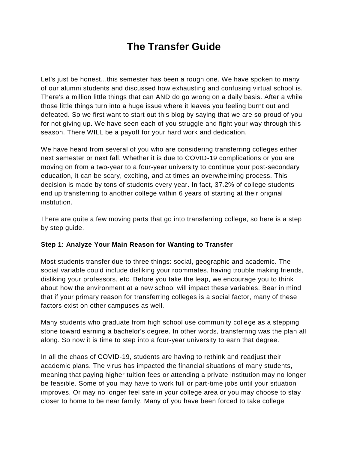# **The Transfer Guide**

Let's just be honest...this semester has been a rough one. We have spoken to many of our alumni students and discussed how exhausting and confusing virtual school is. There's a million little things that can AND do go wrong on a daily basis. After a while those little things turn into a huge issue where it leaves you feeling burnt out and defeated. So we first want to start out this blog by saying that we are so proud of you for not giving up. We have seen each of you struggle and fight your way through this season. There WILL be a payoff for your hard work and dedication.

We have heard from several of you who are considering transferring colleges either next semester or next fall. Whether it is due to COVID-19 complications or you are moving on from a two-year to a four-year university to continue your post-secondary education, it can be scary, exciting, and at times an overwhelming process. This decision is made by tons of students every year. In fact, 37.2% of college students end up transferring to another college within 6 years of starting at their original institution.

There are quite a few moving parts that go into transferring college, so here is a step by step guide.

## **Step 1: Analyze Your Main Reason for Wanting to Transfer**

Most students transfer due to three things: social, geographic and academic. The social variable could include disliking your roommates, having trouble making friends, disliking your professors, etc. Before you take the leap, we encourage you to think about how the environment at a new school will impact these variables. Bear in mind that if your primary reason for transferring colleges is a social factor, many of these factors exist on other campuses as well.

Many students who graduate from high school use community college as a stepping stone toward earning a bachelor's degree. In other words, transferring was the plan all along. So now it is time to step into a four-year university to earn that degree.

In all the chaos of COVID-19, students are having to rethink and readjust their academic plans. The virus has impacted the financial situations of many students, meaning that paying higher tuition fees or attending a private institution may no longer be feasible. Some of you may have to work full or part-time jobs until your situation improves. Or may no longer feel safe in your college area or you may choose to stay closer to home to be near family. Many of you have been forced to take college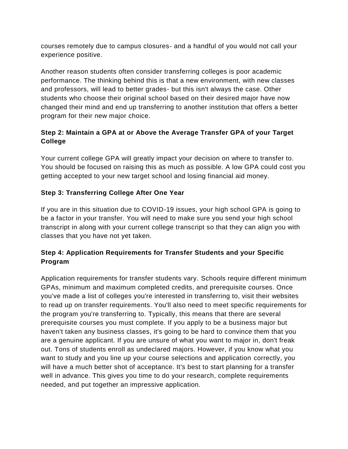courses remotely due to campus closures- and a handful of you would not call your experience positive.

Another reason students often consider transferring colleges is poor academic performance. The thinking behind this is that a new environment, with new classes and professors, will lead to better grades- but this isn't always the case. Other students who choose their original school based on their desired major have now changed their mind and end up transferring to another institution that offers a better program for their new major choice.

# **Step 2: Maintain a GPA at or Above the Average Transfer GPA of your Target College**

Your current college GPA will greatly impact your decision on where to transfer to. You should be focused on raising this as much as possible. A low GPA could cost you getting accepted to your new target school and losing financial aid money.

## **Step 3: Transferring College After One Year**

If you are in this situation due to COVID-19 issues, your high school GPA is going to be a factor in your transfer. You will need to make sure you send your high school transcript in along with your current college transcript so that they can align you with classes that you have not yet taken.

## **Step 4: Application Requirements for Transfer Students and your Specific Program**

Application requirements for transfer students vary. Schools require different minimum GPAs, minimum and maximum completed credits, and prerequisite courses. Once you've made a list of colleges you're interested in transferring to, visit their websites to read up on transfer requirements. You'll also need to meet specific requirements for the program you're transferring to. Typically, this means that there are several prerequisite courses you must complete. If you apply to be a business major but haven't taken any business classes, it's going to be hard to convince them that you are a genuine applicant. If you are unsure of what you want to major in, don't freak out. Tons of students enroll as undeclared majors. However, if you know what you want to study and you line up your course selections and application correctly, you will have a much better shot of acceptance. It's best to start planning for a transfer well in advance. This gives you time to do your research, complete requirements needed, and put together an impressive application.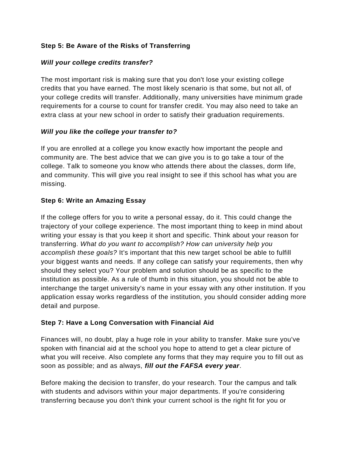## **Step 5: Be Aware of the Risks of Transferring**

#### *Will your college credits transfer?*

The most important risk is making sure that you don't lose your existing college credits that you have earned. The most likely scenario is that some, but not all, of your college credits will transfer. Additionally, many universities have minimum grade requirements for a course to count for transfer credit. You may also need to take an extra class at your new school in order to satisfy their graduation requirements.

#### *Will you like the college your transfer to?*

If you are enrolled at a college you know exactly how important the people and community are. The best advice that we can give you is to go take a tour of the college. Talk to someone you know who attends there about the classes, dorm life, and community. This will give you real insight to see if this school has what you are missing.

#### **Step 6: Write an Amazing Essay**

If the college offers for you to write a personal essay, do it. This could change the trajectory of your college experience. The most important thing to keep in mind about writing your essay is that you keep it short and specific. Think about your reason for transferring. *What do you want to accomplish? How can university help you accomplish these goals?* It's important that this new target school be able to fulfill your biggest wants and needs. If any college can satisfy your requirements, then why should they select you? Your problem and solution should be as specific to the institution as possible. As a rule of thumb in this situation, you should not be able to interchange the target university's name in your essay with any other institution. If you application essay works regardless of the institution, you should consider adding more detail and purpose.

## **Step 7: Have a Long Conversation with Financial Aid**

Finances will, no doubt, play a huge role in your ability to transfer. Make sure you've spoken with financial aid at the school you hope to attend to get a clear picture of what you will receive. Also complete any forms that they may require you to fill out as soon as possible; and as always, *fill out the FAFSA every year*.

Before making the decision to transfer, do your research. Tour the campus and talk with students and advisors within your major departments. If you're considering transferring because you don't think your current school is the right fit for you or